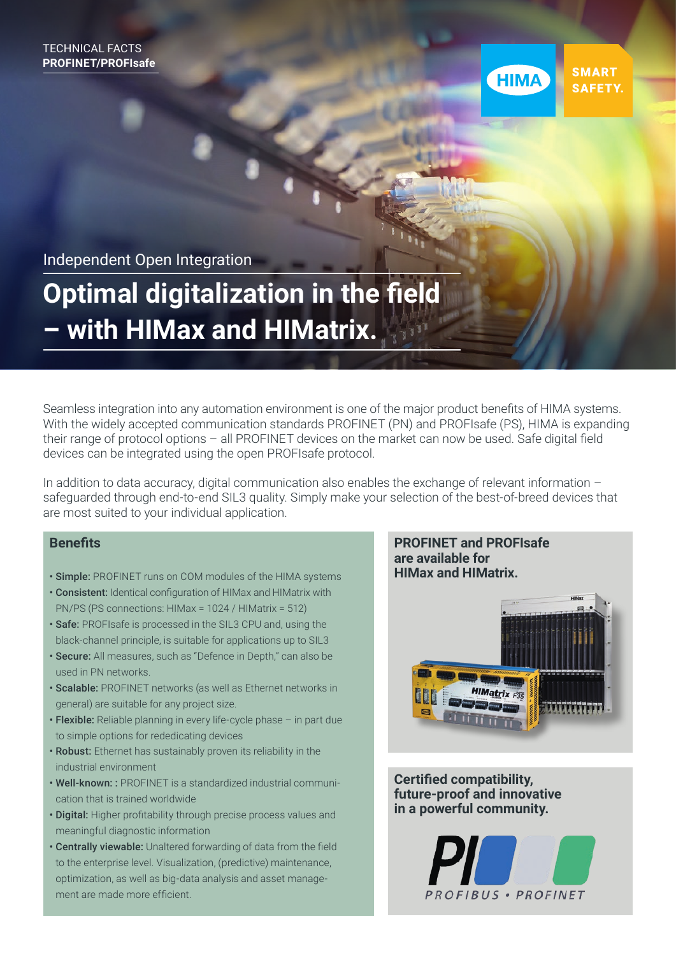

**SMART** SAFETY.

Independent Open Integration

# **Optimal digitalization in the field – with HIMax and HIMatrix.**

Seamless integration into any automation environment is one of the major product benefits of HIMA systems. With the widely accepted communication standards PROFINET (PN) and PROFIsafe (PS), HIMA is expanding their range of protocol options – all PROFINET devices on the market can now be used. Safe digital field devices can be integrated using the open PROFIsafe protocol.

In addition to data accuracy, digital communication also enables the exchange of relevant information – safeguarded through end-to-end SIL3 quality. Simply make your selection of the best-of-breed devices that are most suited to your individual application.

### **Benefits**

- Simple: PROFINET runs on COM modules of the HIMA systems
- Consistent: Identical configuration of HIMax and HIMatrix with PN/PS (PS connections: HIMax = 1024 / HIMatrix = 512)
- Safe: PROFIsafe is processed in the SIL3 CPU and, using the black-channel principle, is suitable for applications up to SIL3
- Secure: All measures, such as "Defence in Depth," can also be used in PN networks.
- Scalable: PROFINET networks (as well as Ethernet networks in general) are suitable for any project size.
- Flexible: Reliable planning in every life-cycle phase in part due to simple options for rededicating devices
- Robust: Ethernet has sustainably proven its reliability in the industrial environment
- Well-known: : PROFINET is a standardized industrial communication that is trained worldwide
- Digital: Higher profitability through precise process values and meaningful diagnostic information
- Centrally viewable: Unaltered forwarding of data from the field to the enterprise level. Visualization, (predictive) maintenance, optimization, as well as big-data analysis and asset management are made more efficient.

#### **PROFINET and PROFIsafe are available for HIMax and HIMatrix.**



**Certified compatibility, future-proof and innovative in a powerful community.**